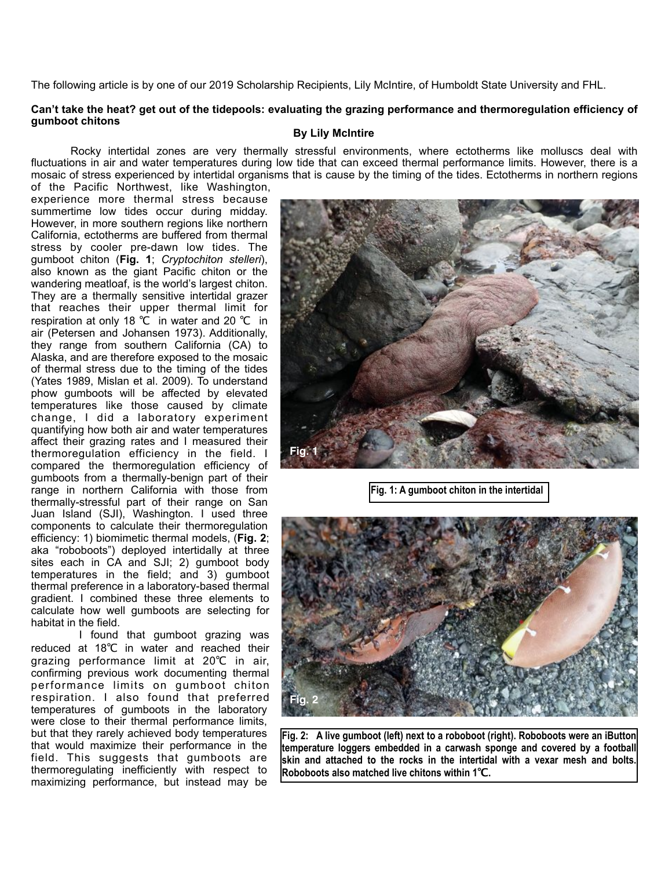The following article is by one of our 2019 Scholarship Recipients, Lily McIntire, of Humboldt State University and FHL.

## **Can't take the heat? get out of the tidepools: evaluating the grazing performance and thermoregulation efficiency of gumboot chitons**

## **By Lily McIntire**

 Rocky intertidal zones are very thermally stressful environments, where ectotherms like molluscs deal with fluctuations in air and water temperatures during low tide that can exceed thermal performance limits. However, there is a mosaic of stress experienced by intertidal organisms that is cause by the timing of the tides. Ectotherms in northern regions

of the Pacific Northwest, like Washington, experience more thermal stress because summertime low tides occur during midday. However, in more southern regions like northern California, ectotherms are buffered from thermal stress by cooler pre-dawn low tides. The gumboot chiton (**Fig. 1**; *Cryptochiton stelleri*), also known as the giant Pacific chiton or the wandering meatloaf, is the world's largest chiton. They are a thermally sensitive intertidal grazer that reaches their upper thermal limit for respiration at only 18 ℃ in water and 20 ℃ in air (Petersen and Johansen 1973). Additionally, they range from southern California (CA) to Alaska, and are therefore exposed to the mosaic of thermal stress due to the timing of the tides (Yates 1989, Mislan et al. 2009). To understand phow gumboots will be affected by elevated temperatures like those caused by climate change, I did a laboratory experiment quantifying how both air and water temperatures affect their grazing rates and I measured their thermoregulation efficiency in the field. I compared the thermoregulation efficiency of gumboots from a thermally-benign part of their range in northern California with those from thermally-stressful part of their range on San Juan Island (SJI), Washington. I used three components to calculate their thermoregulation efficiency: 1) biomimetic thermal models, (**Fig. 2**; aka "roboboots") deployed intertidally at three sites each in CA and SJI; 2) gumboot body temperatures in the field; and 3) gumboot thermal preference in a laboratory-based thermal gradient. I combined these three elements to calculate how well gumboots are selecting for habitat in the field.

 I found that gumboot grazing was reduced at 18℃ in water and reached their grazing performance limit at 20℃ in air, confirming previous work documenting thermal performance limits on gumboot chiton respiration. I also found that preferred temperatures of gumboots in the laboratory were close to their thermal performance limits, but that they rarely achieved body temperatures that would maximize their performance in the field. This suggests that gumboots are thermoregulating inefficiently with respect to maximizing performance, but instead may be



**Fig. 1: A gumboot chiton in the intertidal**



**Fig. 2: A live gumboot (left) next to a roboboot (right). Roboboots were an iButton temperature loggers embedded in a carwash sponge and covered by a football skin and attached to the rocks in the intertidal with a vexar mesh and bolts. Roboboots also matched live chitons within 1℃.**